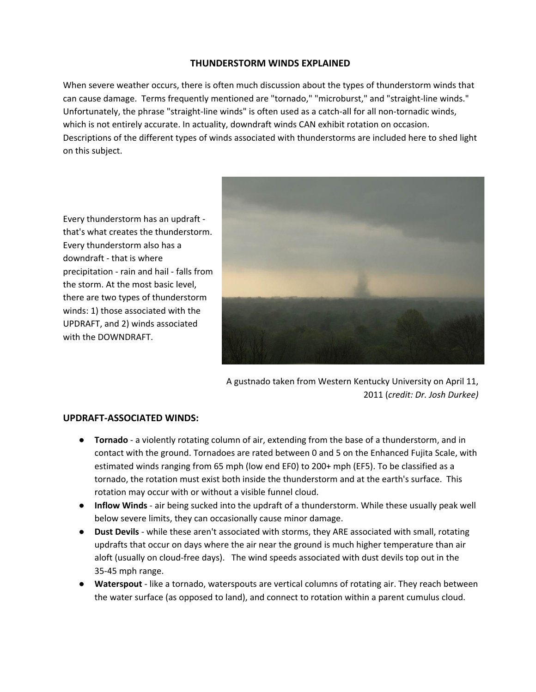## **THUNDERSTORM WINDS EXPLAINED**

When severe weather occurs, there is often much discussion about the types of thunderstorm winds that can cause damage. Terms frequently mentioned are "tornado," "microburst," and "straight-line winds." Unfortunately, the phrase "straight-line winds" is often used as a catch-all for all non-tornadic winds, which is not entirely accurate. In actuality, downdraft winds CAN exhibit rotation on occasion. Descriptions of the different types of winds associated with thunderstorms are included here to shed light on this subject.

Every thunderstorm has an updraft that's what creates the thunderstorm. Every thunderstorm also has a downdraft - that is where precipitation - rain and hail - falls from the storm. At the most basic level, there are two types of thunderstorm winds: 1) those associated with the UPDRAFT, and 2) winds associated with the DOWNDRAFT.



A gustnado taken from Western Kentucky University on April 11, 2011 (*credit: Dr. Josh Durkee)*

## **UPDRAFT-ASSOCIATED WINDS:**

- **Tornado** a violently rotating column of air, extending from the base of a thunderstorm, and in contact with the ground. Tornadoes are rated between 0 and 5 on the Enhanced Fujita Scale, with estimated winds ranging from 65 mph (low end EF0) to 200+ mph (EF5). To be classified as a tornado, the rotation must exist both inside the thunderstorm and at the earth's surface. This rotation may occur with or without a visible funnel cloud.
- **Inflow Winds** air being sucked into the updraft of a thunderstorm. While these usually peak well below severe limits, they can occasionally cause minor damage.
- **Dust Devils** while these aren't associated with storms, they ARE associated with small, rotating updrafts that occur on days where the air near the ground is much higher temperature than air aloft (usually on cloud-free days). The wind speeds associated with dust devils top out in the 35-45 mph range.
- **Waterspout** like a tornado, waterspouts are vertical columns of rotating air. They reach between the water surface (as opposed to land), and connect to rotation within a parent cumulus cloud.